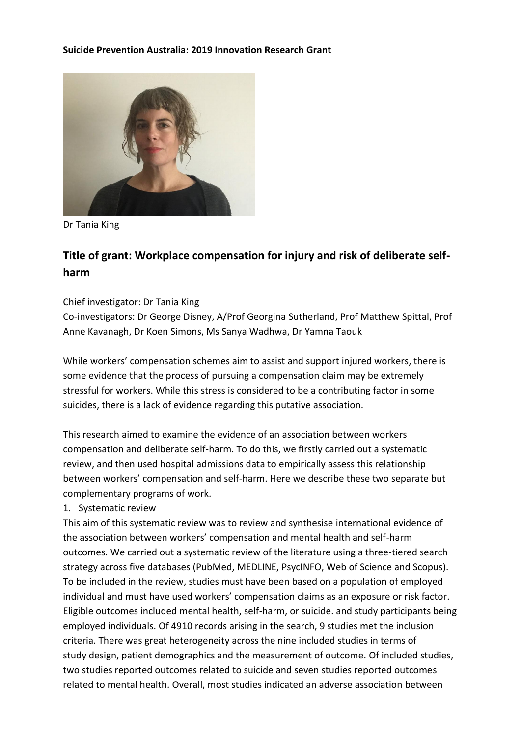

Dr Tania King

# **Title of grant: Workplace compensation for injury and risk of deliberate selfharm**

### Chief investigator: Dr Tania King

Co-investigators: Dr George Disney, A/Prof Georgina Sutherland, Prof Matthew Spittal, Prof Anne Kavanagh, Dr Koen Simons, Ms Sanya Wadhwa, Dr Yamna Taouk

While workers' compensation schemes aim to assist and support injured workers, there is some evidence that the process of pursuing a compensation claim may be extremely stressful for workers. While this stress is considered to be a contributing factor in some suicides, there is a lack of evidence regarding this putative association.

This research aimed to examine the evidence of an association between workers compensation and deliberate self-harm. To do this, we firstly carried out a systematic review, and then used hospital admissions data to empirically assess this relationship between workers' compensation and self-harm. Here we describe these two separate but complementary programs of work.

### 1. Systematic review

This aim of this systematic review was to review and synthesise international evidence of the association between workers' compensation and mental health and self-harm outcomes. We carried out a systematic review of the literature using a three-tiered search strategy across five databases (PubMed, MEDLINE, PsycINFO, Web of Science and Scopus). To be included in the review, studies must have been based on a population of employed individual and must have used workers' compensation claims as an exposure or risk factor. Eligible outcomes included mental health, self-harm, or suicide. and study participants being employed individuals. Of 4910 records arising in the search, 9 studies met the inclusion criteria. There was great heterogeneity across the nine included studies in terms of study design, patient demographics and the measurement of outcome. Of included studies, two studies reported outcomes related to suicide and seven studies reported outcomes related to mental health. Overall, most studies indicated an adverse association between